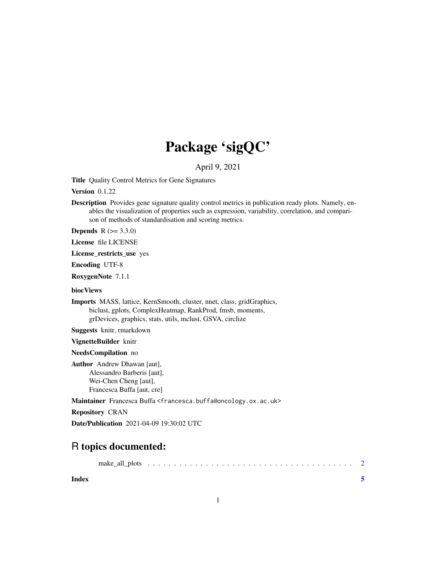## Package 'sigQC'

April 9, 2021

Title Quality Control Metrics for Gene Signatures

Version 0.1.22

Description Provides gene signature quality control metrics in publication ready plots. Namely, enables the visualization of properties such as expression, variability, correlation, and comparison of methods of standardisation and scoring metrics.

**Depends**  $R (= 3.3.0)$ 

License file LICENSE

License\_restricts\_use yes

Encoding UTF-8

RoxygenNote 7.1.1

biocViews

Imports MASS, lattice, KernSmooth, cluster, nnet, class, gridGraphics, biclust, gplots, ComplexHeatmap, RankProd, fmsb, moments, grDevices, graphics, stats, utils, mclust, GSVA, circlize

Suggests knitr, rmarkdown

VignetteBuilder knitr

NeedsCompilation no

Author Andrew Dhawan [aut], Alessandro Barberis [aut], Wei-Chen Cheng [aut], Francesca Buffa [aut, cre]

Maintainer Francesca Buffa <francesca.buffa@oncology.ox.ac.uk>

Repository CRAN

Date/Publication 2021-04-09 19:30:02 UTC

### R topics documented:

**Index** [5](#page-4-0)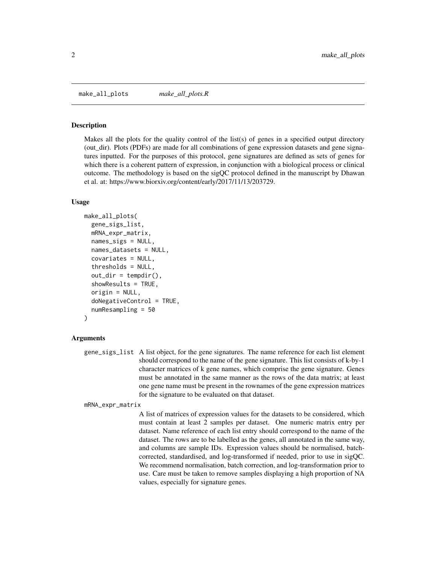<span id="page-1-0"></span>make\_all\_plots *make\_all\_plots.R*

#### Description

Makes all the plots for the quality control of the list(s) of genes in a specified output directory (out\_dir). Plots (PDFs) are made for all combinations of gene expression datasets and gene signatures inputted. For the purposes of this protocol, gene signatures are defined as sets of genes for which there is a coherent pattern of expression, in conjunction with a biological process or clinical outcome. The methodology is based on the sigQC protocol defined in the manuscript by Dhawan et al. at: https://www.biorxiv.org/content/early/2017/11/13/203729.

#### Usage

```
make_all_plots(
  gene_sigs_list,
 mRNA_expr_matrix,
  names_sigs = NULL,
  names_datasets = NULL,
  covariates = NULL,
  thresholds = NULL,
  out\_dir = tempdir(),
  showResults = TRUE,
  origin = NULL,
  doNegativeControl = TRUE,
  numResampling = 50
)
```
#### Arguments

gene\_sigs\_list A list object, for the gene signatures. The name reference for each list element should correspond to the name of the gene signature. This list consists of k-by-1 character matrices of k gene names, which comprise the gene signature. Genes must be annotated in the same manner as the rows of the data matrix; at least one gene name must be present in the rownames of the gene expression matrices for the signature to be evaluated on that dataset.

mRNA\_expr\_matrix

A list of matrices of expression values for the datasets to be considered, which must contain at least 2 samples per dataset. One numeric matrix entry per dataset. Name reference of each list entry should correspond to the name of the dataset. The rows are to be labelled as the genes, all annotated in the same way, and columns are sample IDs. Expression values should be normalised, batchcorrected, standardised, and log-transformed if needed, prior to use in sigQC. We recommend normalisation, batch correction, and log-transformation prior to use. Care must be taken to remove samples displaying a high proportion of NA values, especially for signature genes.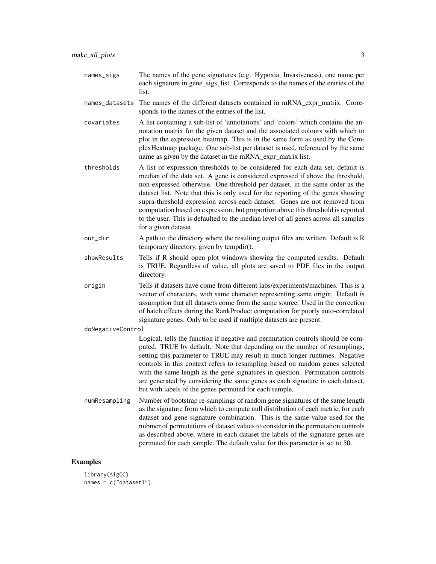- names\_sigs The names of the gene signatures (e.g. Hypoxia, Invasiveness), one name per each signature in gene sigs list. Corresponds to the names of the entries of the list.
- names\_datasets The names of the different datasets contained in mRNA expr\_matrix. Corresponds to the names of the entries of the list.
- covariates A list containing a sub-list of 'annotations' and 'colors' which contains the annotation matrix for the given dataset and the associated colours with which to plot in the expression heatmap. This is in the same form as used by the ComplexHeatmap package. One sub-list per dataset is used, referenced by the same name as given by the dataset in the mRNA\_expr\_matrix list.
- thresholds A list of expression thresholds to be considered for each data set, default is median of the data set. A gene is considered expressed if above the threshold, non-expressed otherwise. One threshold per dataset, in the same order as the dataset list. Note that this is only used for the reporting of the genes showing supra-threshold expression across each dataset. Genes are not removed from computation based on expression; but proportion above this threshold is reported to the user. This is defaulted to the median level of all genes across all samples for a given dataset.
- out\_dir A path to the directory where the resulting output files are written. Default is R temporary directory, given by tempdir().
- showResults Tells if R should open plot windows showing the computed results. Default is TRUE. Regardless of value, all plots are saved to PDF files in the output directory.
- origin Tells if datasets have come from different labs/experiments/machines. This is a vector of characters, with same character representing same origin. Default is assumption that all datasets come from the same source. Used in the correction of batch effects during the RankProduct computation for poorly auto-correlated signature genes. Only to be used if multiple datasets are present.

#### doNegativeControl

Logical, tells the function if negative and permutation controls should be computed. TRUE by default. Note that depending on the number of resamplings, setting this parameter to TRUE may result in much longer runtimes. Negative controls in this context refers to resampling based on random genes selected with the same length as the gene signatures in question. Permutation controls are generated by considering the same genes as each signature in each dataset, but with labels of the genes permuted for each sample.

numResampling Number of bootstrap re-samplings of random gene signatures of the same length as the signature from which to compute null distribution of each metric, for each dataset and gene signature combination. This is the same value used for the nubmer of permutations of dataset values to consider in the permutation controls as described above, where in each dataset the labels of the signature genes are permuted for each sample. The default value for this parameter is set to 50.

#### Examples

```
library(sigQC)
names = c("dataset1")
```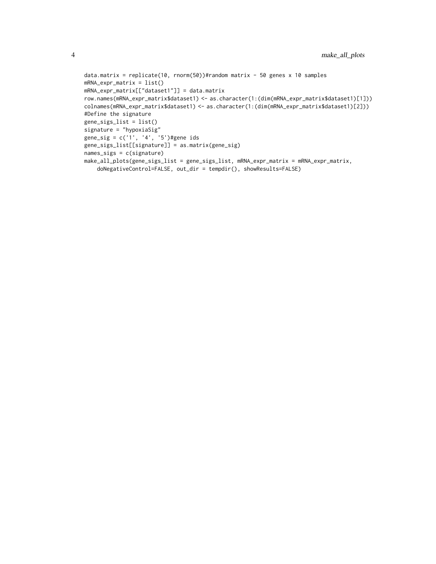```
data.matrix = replicate(10, rnorm(50))#random matrix - 50 genes x 10 samples
mRNA_expr_matrix = list()
mRNA_expr_matrix[["dataset1"]] = data.matrix
row.names(mRNA_expr_matrix$dataset1) <- as.character(1:(dim(mRNA_expr_matrix$dataset1)[1]))
colnames(mRNA_expr_matrix$dataset1) <- as.character(1:(dim(mRNA_expr_matrix$dataset1)[2]))
#Define the signature
gene_sigs_list = list()
signature = "hypoxiaSig"
gene_sig = c('1', '4', '5')#gene ids
gene_sigs_list[[signature]] = as.matrix(gene_sig)
names_sigs = c(signature)
make_all_plots(gene_sigs_list = gene_sigs_list, mRNA_expr_matrix = mRNA_expr_matrix,
    doNegativeControl=FALSE, out_dir = tempdir(), showResults=FALSE)
```